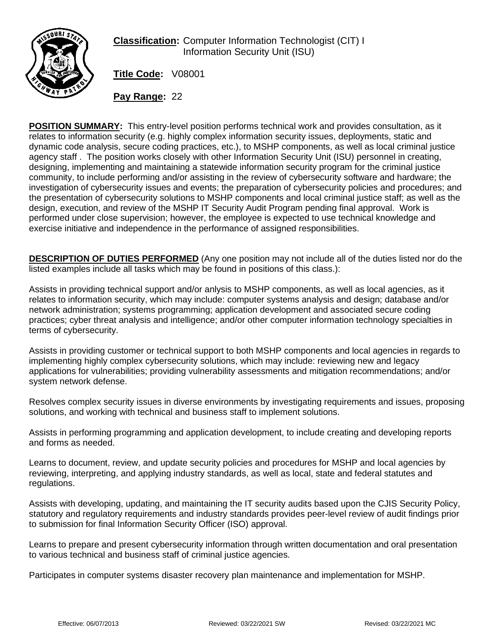

**Classification:** Computer Information Technologist (CIT) I Information Security Unit (ISU)

**Title Code:** V08001

**Pay Range:** 22

**POSITION SUMMARY:** This entry-level position performs technical work and provides consultation, as it relates to information security (e.g. highly complex information security issues, deployments, static and dynamic code analysis, secure coding practices, etc.), to MSHP components, as well as local criminal justice agency staff . The position works closely with other Information Security Unit (ISU) personnel in creating, designing, implementing and maintaining a statewide information security program for the criminal justice community, to include performing and/or assisting in the review of cybersecurity software and hardware; the investigation of cybersecurity issues and events; the preparation of cybersecurity policies and procedures; and the presentation of cybersecurity solutions to MSHP components and local criminal justice staff; as well as the design, execution, and review of the MSHP IT Security Audit Program pending final approval. Work is performed under close supervision; however, the employee is expected to use technical knowledge and exercise initiative and independence in the performance of assigned responsibilities.

**DESCRIPTION OF DUTIES PERFORMED** (Any one position may not include all of the duties listed nor do the listed examples include all tasks which may be found in positions of this class.):

Assists in providing technical support and/or anlysis to MSHP components, as well as local agencies, as it relates to information security, which may include: computer systems analysis and design; database and/or network administration; systems programming; application development and associated secure coding practices; cyber threat analysis and intelligence; and/or other computer information technology specialties in terms of cybersecurity.

Assists in providing customer or technical support to both MSHP components and local agencies in regards to implementing highly complex cybersecurity solutions, which may include: reviewing new and legacy applications for vulnerabilities; providing vulnerability assessments and mitigation recommendations; and/or system network defense.

Resolves complex security issues in diverse environments by investigating requirements and issues, proposing solutions, and working with technical and business staff to implement solutions.

Assists in performing programming and application development, to include creating and developing reports and forms as needed.

Learns to document, review, and update security policies and procedures for MSHP and local agencies by reviewing, interpreting, and applying industry standards, as well as local, state and federal statutes and regulations.

Assists with developing, updating, and maintaining the IT security audits based upon the CJIS Security Policy, statutory and regulatory requirements and industry standards provides peer-level review of audit findings prior to submission for final Information Security Officer (ISO) approval.

Learns to prepare and present cybersecurity information through written documentation and oral presentation to various technical and business staff of criminal justice agencies.

Participates in computer systems disaster recovery plan maintenance and implementation for MSHP.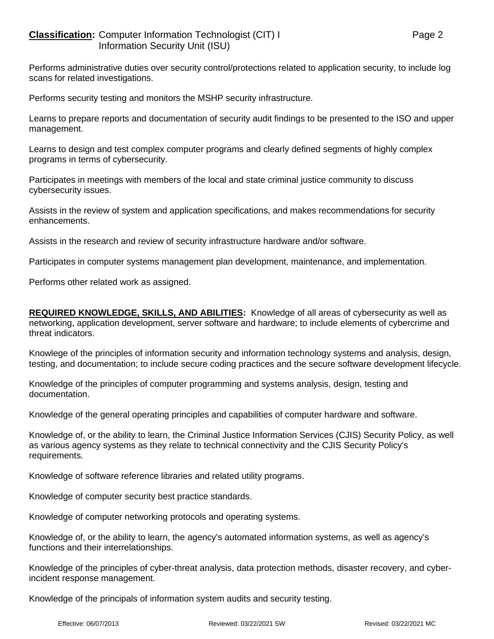## **Classification:** Computer Information Technologist (CIT) I Page 2 Information Security Unit (ISU)

Performs administrative duties over security control/protections related to application security, to include log scans for related investigations.

Performs security testing and monitors the MSHP security infrastructure.

Learns to prepare reports and documentation of security audit findings to be presented to the ISO and upper management.

Learns to design and test complex computer programs and clearly defined segments of highly complex programs in terms of cybersecurity.

Participates in meetings with members of the local and state criminal justice community to discuss cybersecurity issues.

Assists in the review of system and application specifications, and makes recommendations for security enhancements.

Assists in the research and review of security infrastructure hardware and/or software.

Participates in computer systems management plan development, maintenance, and implementation.

Performs other related work as assigned.

**REQUIRED KNOWLEDGE, SKILLS, AND ABILITIES:** Knowledge of all areas of cybersecurity as well as networking, application development, server software and hardware; to include elements of cybercrime and threat indicators.

Knowlege of the principles of information security and information technology systems and analysis, design, testing, and documentation; to include secure coding practices and the secure software development lifecycle.

Knowledge of the principles of computer programming and systems analysis, design, testing and documentation.

Knowledge of the general operating principles and capabilities of computer hardware and software.

Knowledge of, or the ability to learn, the Criminal Justice Information Services (CJIS) Security Policy, as well as various agency systems as they relate to technical connectivity and the CJIS Security Policy's requirements.

Knowledge of software reference libraries and related utility programs.

Knowledge of computer security best practice standards.

Knowledge of computer networking protocols and operating systems.

Knowledge of, or the ability to learn, the agency's automated information systems, as well as agency's functions and their interrelationships.

Knowledge of the principles of cyber-threat analysis, data protection methods, disaster recovery, and cyberincident response management.

Knowledge of the principals of information system audits and security testing.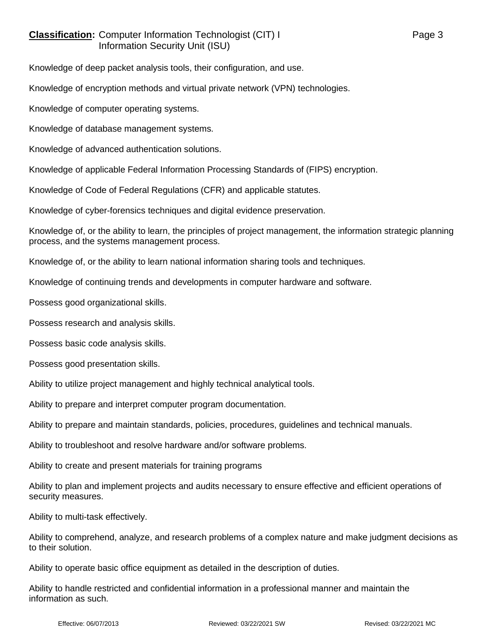## **Classification:** Computer Information Technologist (CIT) I Page 3 Information Security Unit (ISU)

Knowledge of deep packet analysis tools, their configuration, and use.

Knowledge of encryption methods and virtual private network (VPN) technologies.

Knowledge of computer operating systems.

Knowledge of database management systems.

Knowledge of advanced authentication solutions.

Knowledge of applicable Federal Information Processing Standards of (FIPS) encryption.

Knowledge of Code of Federal Regulations (CFR) and applicable statutes.

Knowledge of cyber-forensics techniques and digital evidence preservation.

Knowledge of, or the ability to learn, the principles of project management, the information strategic planning process, and the systems management process.

Knowledge of, or the ability to learn national information sharing tools and techniques.

Knowledge of continuing trends and developments in computer hardware and software.

Possess good organizational skills.

Possess research and analysis skills.

Possess basic code analysis skills.

Possess good presentation skills.

Ability to utilize project management and highly technical analytical tools.

Ability to prepare and interpret computer program documentation.

Ability to prepare and maintain standards, policies, procedures, guidelines and technical manuals.

Ability to troubleshoot and resolve hardware and/or software problems.

Ability to create and present materials for training programs

Ability to plan and implement projects and audits necessary to ensure effective and efficient operations of security measures.

Ability to multi-task effectively.

Ability to comprehend, analyze, and research problems of a complex nature and make judgment decisions as to their solution.

Ability to operate basic office equipment as detailed in the description of duties.

Ability to handle restricted and confidential information in a professional manner and maintain the information as such.